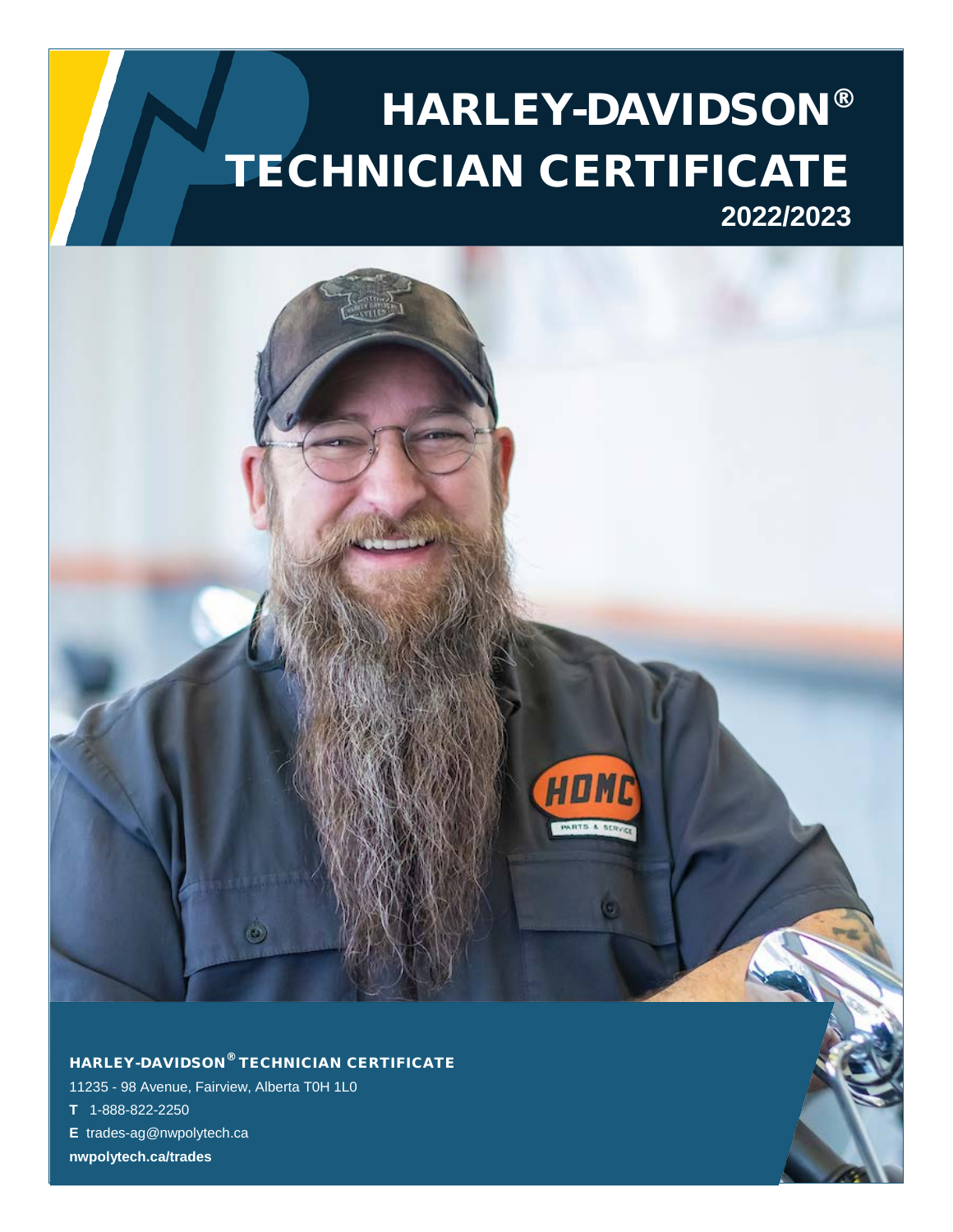# HARLEY-DAVIDSON® TECHNICIAN CERTIFICATE **2022/2023**



## HARLEY-DAVIDSON® TECHNICIAN CERTIFICATE

11235 - 98 Avenue, Fairview, Alberta T0H 1L0

- **T** 1-888-822-2250
- **E** trades-ag@nwpolytech.ca

**nwpolytech.ca/trades**